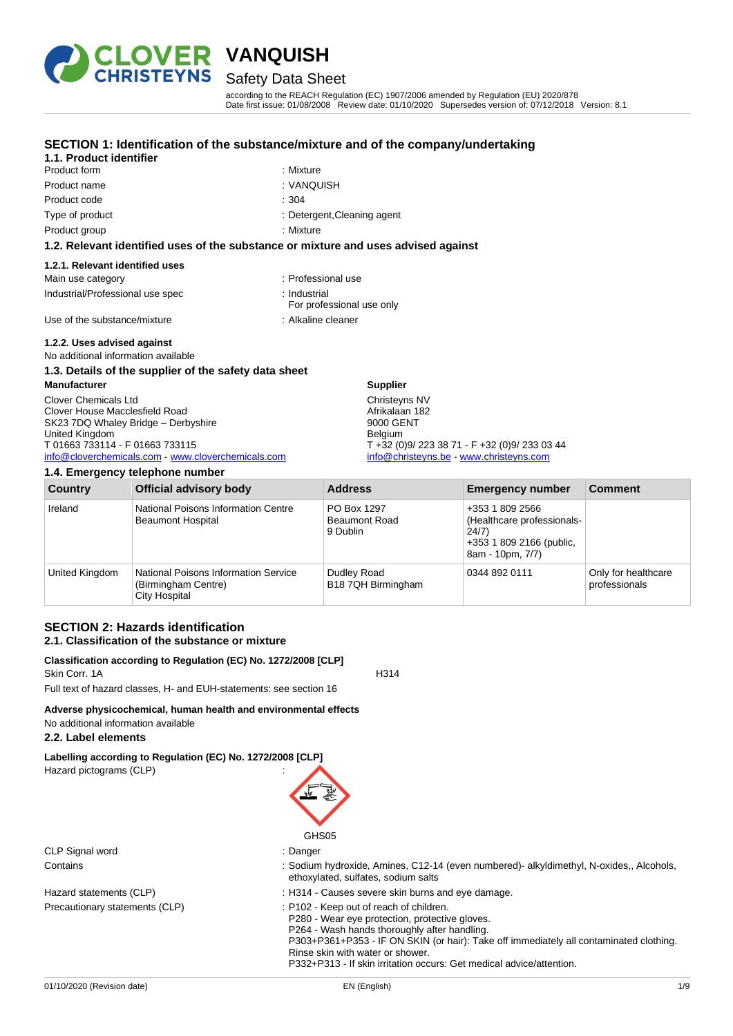

## Safety Data Sheet

according to the REACH Regulation (EC) 1907/2006 amended by Regulation (EU) 2020/878 Date first issue: 01/08/2008 Review date: 01/10/2020 Supersedes version of: 07/12/2018 Version: 8.1

### **SECTION 1: Identification of the substance/mixture and of the company/undertaking**

#### **1.1. Product identifier** Product form : Nixture

- Product name : VANQUISH Product code : 304
	-
	-
- Type of product Type of product  $\qquad \qquad$  : Detergent, Cleaning agent
- Product group **: Mixture** : Mixture

#### **1.2. Relevant identified uses of the substance or mixture and uses advised against**

#### **1.2.1. Relevant identified uses**

| Main use category                | : Professional use                        |
|----------------------------------|-------------------------------------------|
| Industrial/Professional use spec | ∴ Industrial<br>For professional use only |
| Use of the substance/mixture     | : Alkaline cleaner                        |

### **1.2.2. Uses advised against**

No additional information available

## **1.3. Details of the supplier of the safety data sheet**

**Manufacturer** Clover Chemicals Ltd Clover House Macclesfield Road SK23 7DQ Whaley Bridge – Derbyshire United Kingdom T 01663 733114 - F 01663 733115 [info@cloverchemicals.com](mailto:info@cloverchemicals.com) - [www.cloverchemicals.com](http://www.cloverchemicals.com/)

| 1.4. Emergency telephone number |                                                                                     |                                                 |                                                                                                        |                                      |
|---------------------------------|-------------------------------------------------------------------------------------|-------------------------------------------------|--------------------------------------------------------------------------------------------------------|--------------------------------------|
| Country                         | <b>Official advisory body</b>                                                       | <b>Address</b>                                  | <b>Emergency number</b>                                                                                | <b>Comment</b>                       |
| Ireland                         | National Poisons Information Centre<br><b>Beaumont Hospital</b>                     | PO Box 1297<br><b>Beaumont Road</b><br>9 Dublin | +353 1 809 2566<br>(Healthcare professionals-<br>24/7)<br>+353 1 809 2166 (public,<br>8am - 10pm, 7/7) |                                      |
| United Kingdom                  | <b>National Poisons Information Service</b><br>(Birmingham Centre)<br>City Hospital | Dudley Road<br>B18 7QH Birmingham               | 0344 892 0111                                                                                          | Only for healthcare<br>professionals |

**Supplier** Christeyns NV Afrikalaan 182 9000 GENT Belgium

T +32 (0)9/ 223 38 71 - F +32 (0)9/ 233 03 44 [info@christeyns.be](mailto:info@christeyns.be) - [www.christeyns.com](http://www.christeyns.com/)

### **SECTION 2: Hazards identification 2.1. Classification of the substance or mixture**

#### **Classification according to Regulation (EC) No. 1272/2008 [CLP]** Skin Corr. 1A H314

Full text of hazard classes, H- and EUH-statements: see section 16

## **Adverse physicochemical, human health and environmental effects**

## No additional information available

## **2.2. Label elements**

**Labelling according to Regulation (EC) No. 1272/2008 [CLP]** Hazard pictograms (CLP) :



CLP Signal word in the state of the state of the Signal School and the Signal School and the Signal School and Signal School and School and School and School and School and School and School and School and School and Schoo

- Contains : Sodium hydroxide, Amines, C12-14 (even numbered)- alkyldimethyl, N-oxides,, Alcohols, ethoxylated, sulfates, sodium salts
- Hazard statements (CLP) : H314 Causes severe skin burns and eye damage.
- Precautionary statements (CLP) : P102 Keep out of reach of children.
	- P280 Wear eye protection, protective gloves.
	- P264 Wash hands thoroughly after handling.

P303+P361+P353 - IF ON SKIN (or hair): Take off immediately all contaminated clothing. Rinse skin with water or shower.

P332+P313 - If skin irritation occurs: Get medical advice/attention.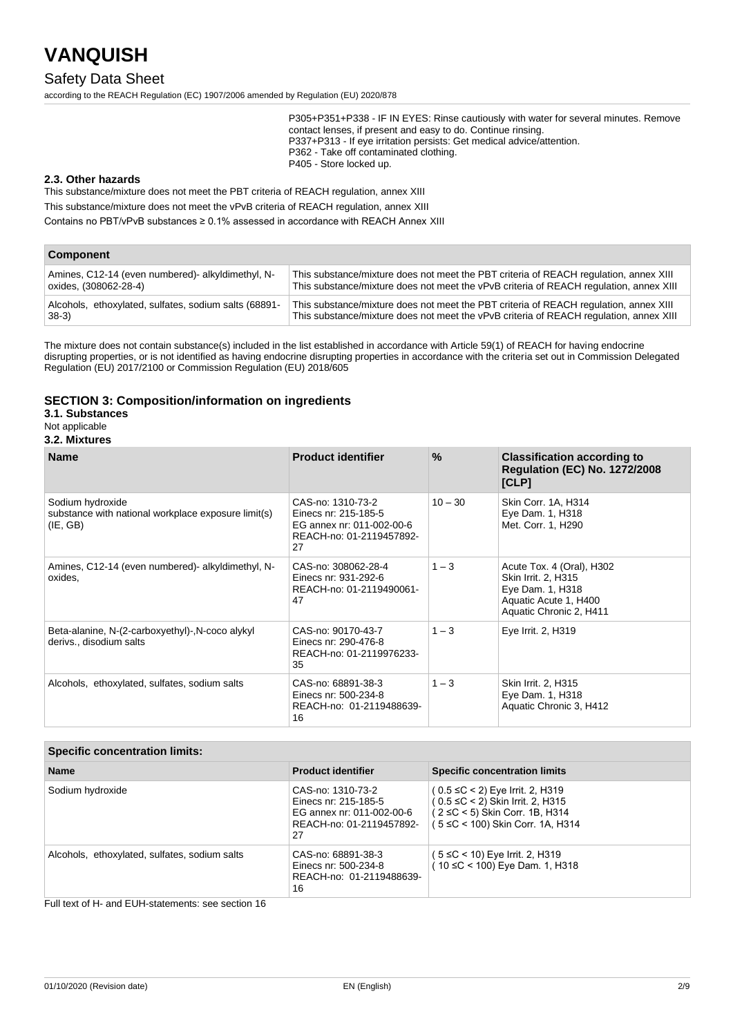## Safety Data Sheet

according to the REACH Regulation (EC) 1907/2006 amended by Regulation (EU) 2020/878

P305+P351+P338 - IF IN EYES: Rinse cautiously with water for several minutes. Remove contact lenses, if present and easy to do. Continue rinsing. P337+P313 - If eye irritation persists: Get medical advice/attention. P362 - Take off contaminated clothing. P405 - Store locked up.

#### **2.3. Other hazards**

This substance/mixture does not meet the PBT criteria of REACH regulation, annex XIII

This substance/mixture does not meet the vPvB criteria of REACH regulation, annex XIII

Contains no PBT/vPvB substances ≥ 0.1% assessed in accordance with REACH Annex XIII

#### **Component**

| Amines, C12-14 (even numbered)- alkyldimethyl, N-     | This substance/mixture does not meet the PBT criteria of REACH regulation, annex XIII  |
|-------------------------------------------------------|----------------------------------------------------------------------------------------|
| oxides, (308062-28-4)                                 | This substance/mixture does not meet the vPvB criteria of REACH regulation, annex XIII |
| Alcohols, ethoxylated, sulfates, sodium salts (68891- | This substance/mixture does not meet the PBT criteria of REACH regulation, annex XIII  |
| $ 38-3\rangle$                                        | This substance/mixture does not meet the vPvB criteria of REACH regulation, annex XIII |

The mixture does not contain substance(s) included in the list established in accordance with Article 59(1) of REACH for having endocrine disrupting properties, or is not identified as having endocrine disrupting properties in accordance with the criteria set out in Commission Delegated Regulation (EU) 2017/2100 or Commission Regulation (EU) 2018/605

#### **SECTION 3: Composition/information on ingredients**

### **3.1. Substances**

#### Not applicable

### **3.2. Mixtures**

| <b>Name</b>                                                                         | <b>Product identifier</b>                                                                                | $\frac{9}{6}$ | <b>Classification according to</b><br><b>Regulation (EC) No. 1272/2008</b><br>[CLP]                                      |
|-------------------------------------------------------------------------------------|----------------------------------------------------------------------------------------------------------|---------------|--------------------------------------------------------------------------------------------------------------------------|
| Sodium hydroxide<br>substance with national workplace exposure limit(s)<br>(IE, GB) | CAS-no: 1310-73-2<br>Einecs nr: 215-185-5<br>EG annex nr: 011-002-00-6<br>REACH-no: 01-2119457892-<br>27 | $10 - 30$     | Skin Corr. 1A, H314<br>Eye Dam. 1, H318<br>Met. Corr. 1, H290                                                            |
| Amines, C12-14 (even numbered) alkyldimethyl, N-<br>oxides,                         | CAS-no: 308062-28-4<br>Einecs nr: 931-292-6<br>REACH-no: 01-2119490061-<br>47                            | $1 - 3$       | Acute Tox. 4 (Oral), H302<br>Skin Irrit. 2, H315<br>Eye Dam. 1, H318<br>Aquatic Acute 1, H400<br>Aquatic Chronic 2, H411 |
| Beta-alanine, N-(2-carboxyethyl)-, N-coco alykyl<br>derivs., disodium salts         | CAS-no: 90170-43-7<br>Einecs nr: 290-476-8<br>REACH-no: 01-2119976233-<br>35                             | $1 - 3$       | Eye Irrit. 2, H319                                                                                                       |
| Alcohols, ethoxylated, sulfates, sodium salts                                       | CAS-no: 68891-38-3<br>Einecs nr: 500-234-8<br>REACH-no: 01-2119488639-<br>16                             | $1 - 3$       | Skin Irrit. 2, H315<br>Eye Dam. 1, H318<br>Aquatic Chronic 3, H412                                                       |

| <b>Specific concentration limits:</b>         |                                                                                                          |                                                                                                                                                         |
|-----------------------------------------------|----------------------------------------------------------------------------------------------------------|---------------------------------------------------------------------------------------------------------------------------------------------------------|
| <b>Name</b>                                   | <b>Product identifier</b>                                                                                | <b>Specific concentration limits</b>                                                                                                                    |
| Sodium hydroxide                              | CAS-no: 1310-73-2<br>Einecs nr. 215-185-5<br>EG annex nr: 011-002-00-6<br>REACH-no: 01-2119457892-<br>27 | $(0.5 ≤ C < 2)$ Eye Irrit. 2, H319<br>$(0.5 \leq C < 2)$ Skin Irrit. 2, H315<br>$(2 \le C < 5)$ Skin Corr. 1B, H314<br>(5 ≤C < 100) Skin Corr. 1A, H314 |
| Alcohols, ethoxylated, sulfates, sodium salts | CAS-no: 68891-38-3<br>Einecs nr: 500-234-8<br>REACH-no: 01-2119488639-<br>16                             | ( 5 ≤C < 10) Eye Irrit. 2, H319<br>(10 ≤C < 100) Eye Dam. 1, H318                                                                                       |

Full text of H- and EUH-statements: see section 16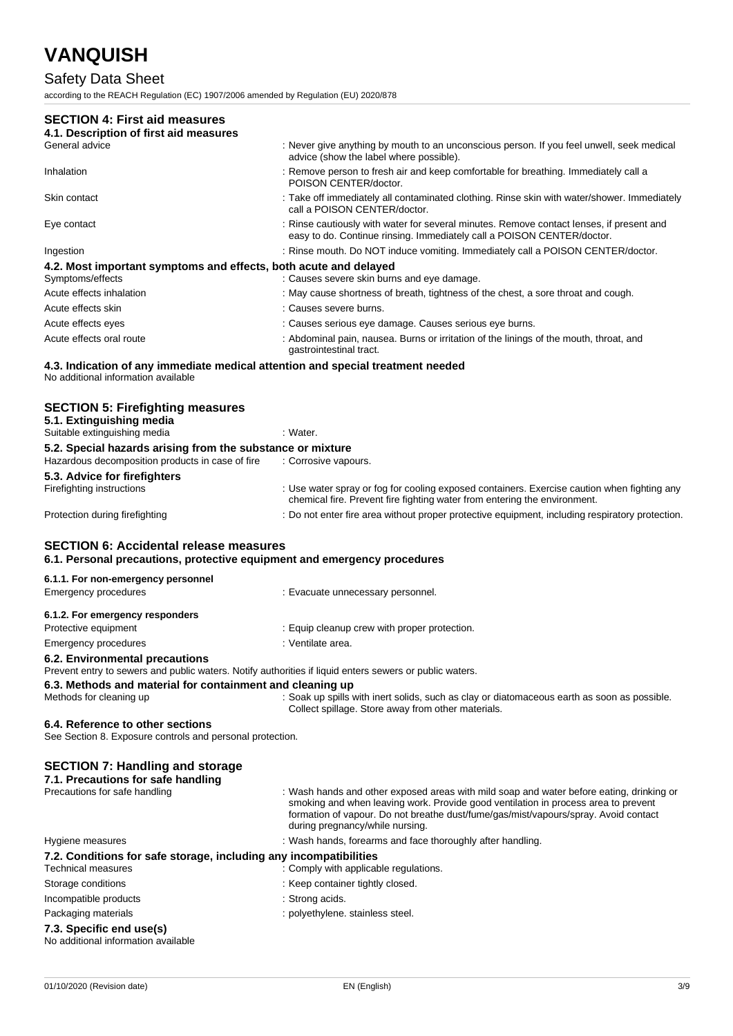## Safety Data Sheet

according to the REACH Regulation (EC) 1907/2006 amended by Regulation (EU) 2020/878

## **SECTION 4: First aid measures**

| 4.1. Description of first aid measures                                                                                 |                                                                                                                                                                    |
|------------------------------------------------------------------------------------------------------------------------|--------------------------------------------------------------------------------------------------------------------------------------------------------------------|
| General advice                                                                                                         | : Never give anything by mouth to an unconscious person. If you feel unwell, seek medical<br>advice (show the label where possible).                               |
| Inhalation                                                                                                             | : Remove person to fresh air and keep comfortable for breathing. Immediately call a<br>POISON CENTER/doctor.                                                       |
| Skin contact                                                                                                           | : Take off immediately all contaminated clothing. Rinse skin with water/shower. Immediately<br>call a POISON CENTER/doctor.                                        |
| Eye contact                                                                                                            | : Rinse cautiously with water for several minutes. Remove contact lenses, if present and<br>easy to do. Continue rinsing. Immediately call a POISON CENTER/doctor. |
| Ingestion                                                                                                              | : Rinse mouth. Do NOT induce vomiting. Immediately call a POISON CENTER/doctor.                                                                                    |
| 4.2. Most important symptoms and effects, both acute and delayed                                                       |                                                                                                                                                                    |
| Symptoms/effects                                                                                                       | : Causes severe skin burns and eye damage.                                                                                                                         |
| Acute effects inhalation                                                                                               | : May cause shortness of breath, tightness of the chest, a sore throat and cough.                                                                                  |
| Acute effects skin                                                                                                     | : Causes severe burns.                                                                                                                                             |
| Acute effects eyes                                                                                                     | : Causes serious eye damage. Causes serious eye burns.                                                                                                             |
| Acute effects oral route                                                                                               | : Abdominal pain, nausea. Burns or irritation of the linings of the mouth, throat, and<br>gastrointestinal tract.                                                  |
| 4.3. Indication of any immediate medical attention and special treatment needed<br>No additional information available |                                                                                                                                                                    |
|                                                                                                                        |                                                                                                                                                                    |

| <b>SECTION 5: Firefighting measures</b>                                                                                                       |                                                                                                                                                                          |
|-----------------------------------------------------------------------------------------------------------------------------------------------|--------------------------------------------------------------------------------------------------------------------------------------------------------------------------|
| 5.1. Extinguishing media<br>Suitable extinguishing media                                                                                      | : Water.                                                                                                                                                                 |
| 5.2. Special hazards arising from the substance or mixture<br>Hazardous decomposition products in case of fire                                | : Corrosive vapours.                                                                                                                                                     |
| 5.3. Advice for firefighters                                                                                                                  |                                                                                                                                                                          |
| Firefighting instructions                                                                                                                     | : Use water spray or fog for cooling exposed containers. Exercise caution when fighting any<br>chemical fire. Prevent fire fighting water from entering the environment. |
| Protection during firefighting                                                                                                                | : Do not enter fire area without proper protective equipment, including respiratory protection.                                                                          |
| 6.1. Personal precautions, protective equipment and emergency procedures<br>6.1.1. For non-emergency personnel<br><b>Emergency procedures</b> | : Evacuate unnecessary personnel.                                                                                                                                        |
| 6.1.2. For emergency responders                                                                                                               |                                                                                                                                                                          |
| Protective equipment                                                                                                                          | : Equip cleanup crew with proper protection.                                                                                                                             |
| <b>Emergency procedures</b>                                                                                                                   | : Ventilate area.                                                                                                                                                        |
| 6.2. Environmental precautions<br>Prevent entry to sewers and public waters. Notify authorities if liquid enters sewers or public waters.     |                                                                                                                                                                          |
| 6.3. Methods and material for containment and cleaning up                                                                                     |                                                                                                                                                                          |
| Methods for cleaning up                                                                                                                       | : Soak up spills with inert solids, such as clay or diatomaceous earth as soon as possible.<br>Collect spillage. Store away from other materials.                        |
| 6.4. Reference to other sections                                                                                                              |                                                                                                                                                                          |

See Section 8. Exposure controls and personal protection.

## **SECTION 7: Handling and storage**

| 7.1. Precautions for safe handling                                |                                                                                                                                                                                                                                                                                                          |
|-------------------------------------------------------------------|----------------------------------------------------------------------------------------------------------------------------------------------------------------------------------------------------------------------------------------------------------------------------------------------------------|
| Precautions for safe handling                                     | : Wash hands and other exposed areas with mild soap and water before eating, drinking or<br>smoking and when leaving work. Provide good ventilation in process area to prevent<br>formation of vapour. Do not breathe dust/fume/gas/mist/vapours/spray. Avoid contact<br>during pregnancy/while nursing. |
| Hygiene measures                                                  | : Wash hands, forearms and face thoroughly after handling.                                                                                                                                                                                                                                               |
| 7.2. Conditions for safe storage, including any incompatibilities |                                                                                                                                                                                                                                                                                                          |
| Technical measures                                                | : Comply with applicable regulations.                                                                                                                                                                                                                                                                    |
| Storage conditions                                                | : Keep container tightly closed.                                                                                                                                                                                                                                                                         |
| Incompatible products                                             | : Strong acids.                                                                                                                                                                                                                                                                                          |
| Packaging materials                                               | : polyethylene. stainless steel.                                                                                                                                                                                                                                                                         |
| 7.3. Specific end use(s)<br>No additional information available   |                                                                                                                                                                                                                                                                                                          |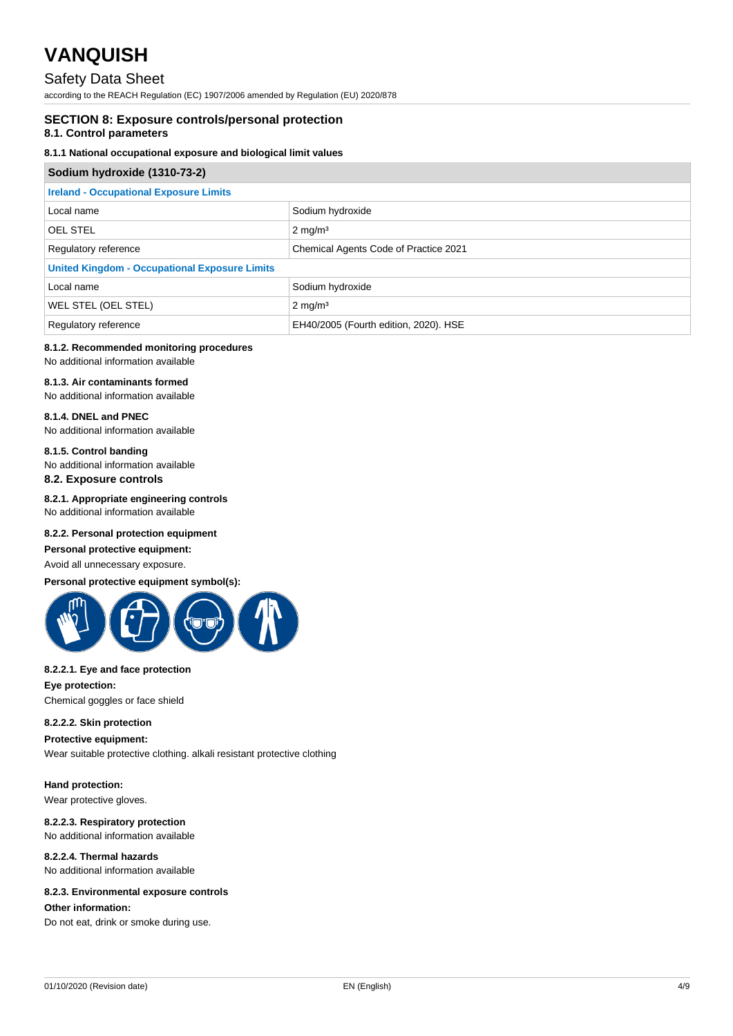## Safety Data Sheet

according to the REACH Regulation (EC) 1907/2006 amended by Regulation (EU) 2020/878

## **SECTION 8: Exposure controls/personal protection**

## **8.1. Control parameters**

### **8.1.1 National occupational exposure and biological limit values**

| Sodium hydroxide (1310-73-2)                                  |                                       |  |
|---------------------------------------------------------------|---------------------------------------|--|
| <b>Ireland - Occupational Exposure Limits</b>                 |                                       |  |
| Local name                                                    | Sodium hydroxide                      |  |
| <b>OEL STEL</b>                                               | $2 \text{ mg/m}^3$                    |  |
| Chemical Agents Code of Practice 2021<br>Regulatory reference |                                       |  |
| <b>United Kingdom - Occupational Exposure Limits</b>          |                                       |  |
| Local name                                                    | Sodium hydroxide                      |  |
| WEL STEL (OEL STEL)                                           | $2 \text{ mg/m}^3$                    |  |
| Regulatory reference                                          | EH40/2005 (Fourth edition, 2020). HSE |  |

## **8.1.2. Recommended monitoring procedures**

No additional information available

## **8.1.3. Air contaminants formed**

No additional information available

#### **8.1.4. DNEL and PNEC** No additional information available

## **8.1.5. Control banding**

No additional information available **8.2. Exposure controls**

#### **8.2.1. Appropriate engineering controls** No additional information available

#### **8.2.2. Personal protection equipment**

#### **Personal protective equipment:**

Avoid all unnecessary exposure.

#### **Personal protective equipment symbol(s):**



#### **8.2.2.1. Eye and face protection**

**Eye protection:**

Chemical goggles or face shield

#### **8.2.2.2. Skin protection**

**Protective equipment:** Wear suitable protective clothing. alkali resistant protective clothing

#### **Hand protection:**

Wear protective gloves.

#### **8.2.2.3. Respiratory protection** No additional information available

**8.2.2.4. Thermal hazards** No additional information available

#### **8.2.3. Environmental exposure controls**

#### **Other information:**

Do not eat, drink or smoke during use.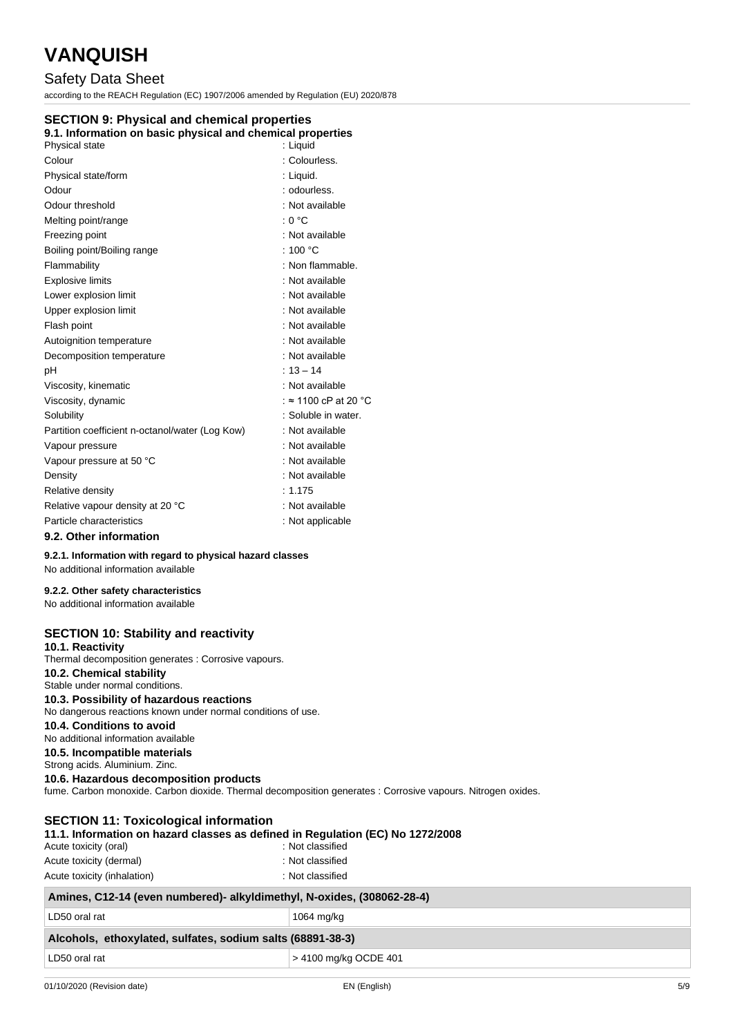## Safety Data Sheet

according to the REACH Regulation (EC) 1907/2006 amended by Regulation (EU) 2020/878

#### **SECTION 9: Physical and chemical properties**

#### **9.1. Information on basic physical and chemical properties**

| Physical state                                  | : Liquid                     |
|-------------------------------------------------|------------------------------|
| Colour                                          | : Colourless.                |
| Physical state/form                             | : Liquid.                    |
| Odour                                           | : odourless.                 |
| Odour threshold                                 | : Not available              |
| Melting point/range                             | : 0 °C                       |
| Freezing point                                  | : Not available              |
| Boiling point/Boiling range                     | : 100 $\degree$ C            |
| Flammability                                    | : Non flammable.             |
| <b>Explosive limits</b>                         | : Not available              |
| Lower explosion limit                           | : Not available              |
| Upper explosion limit                           | : Not available              |
| Flash point                                     | : Not available              |
| Autoignition temperature                        | : Not available              |
| Decomposition temperature                       | : Not available              |
| рH                                              | $: 13 - 14$                  |
| Viscosity, kinematic                            | : Not available              |
| Viscosity, dynamic                              | : $\approx$ 1100 cP at 20 °C |
| Solubility                                      | : Soluble in water.          |
| Partition coefficient n-octanol/water (Log Kow) | : Not available              |
| Vapour pressure                                 | : Not available              |
| Vapour pressure at 50 °C                        | : Not available              |
| Density                                         | : Not available              |
| Relative density                                | : 1.175                      |
| Relative vapour density at 20 °C                | : Not available              |
| Particle characteristics                        | : Not applicable             |
| 0.2. Other information                          |                              |

#### **9.2. Other information**

**9.2.1. Information with regard to physical hazard classes**

No additional information available

#### **9.2.2. Other safety characteristics**

No additional information available

#### **SECTION 10: Stability and reactivity**

**10.1. Reactivity**

Thermal decomposition generates : Corrosive vapours.

#### **10.2. Chemical stability**

Stable under normal conditions.

### **10.3. Possibility of hazardous reactions**

No dangerous reactions known under normal conditions of use.

### **10.4. Conditions to avoid**

No additional information available

**10.5. Incompatible materials**

Strong acids. Aluminium. Zinc. **10.6. Hazardous decomposition products**

fume. Carbon monoxide. Carbon dioxide. Thermal decomposition generates : Corrosive vapours. Nitrogen oxides.

| <b>SECTION 11: Toxicological information</b> |                                                                                |
|----------------------------------------------|--------------------------------------------------------------------------------|
|                                              | 11.1. Information on hazard classes as defined in Regulation (EC) No 1272/2008 |
| Acute toxicity (oral)                        | : Not classified                                                               |
| Acute toxicity (dermal)                      | : Not classified                                                               |

| Actric toxicity (definition) | . INUL GRUSSIIIEU |
|------------------------------|-------------------|
| Acute toxicity (inhalation)  | : Not classified  |

| Amines, C12-14 (even numbered)- alkyldimethyl, N-oxides, (308062-28-4) |                       |
|------------------------------------------------------------------------|-----------------------|
| LD50 oral rat                                                          | 1064 mg/kg            |
| Alcohols, ethoxylated, sulfates, sodium salts (68891-38-3)             |                       |
| LD50 oral rat                                                          | > 4100 mg/kg OCDE 401 |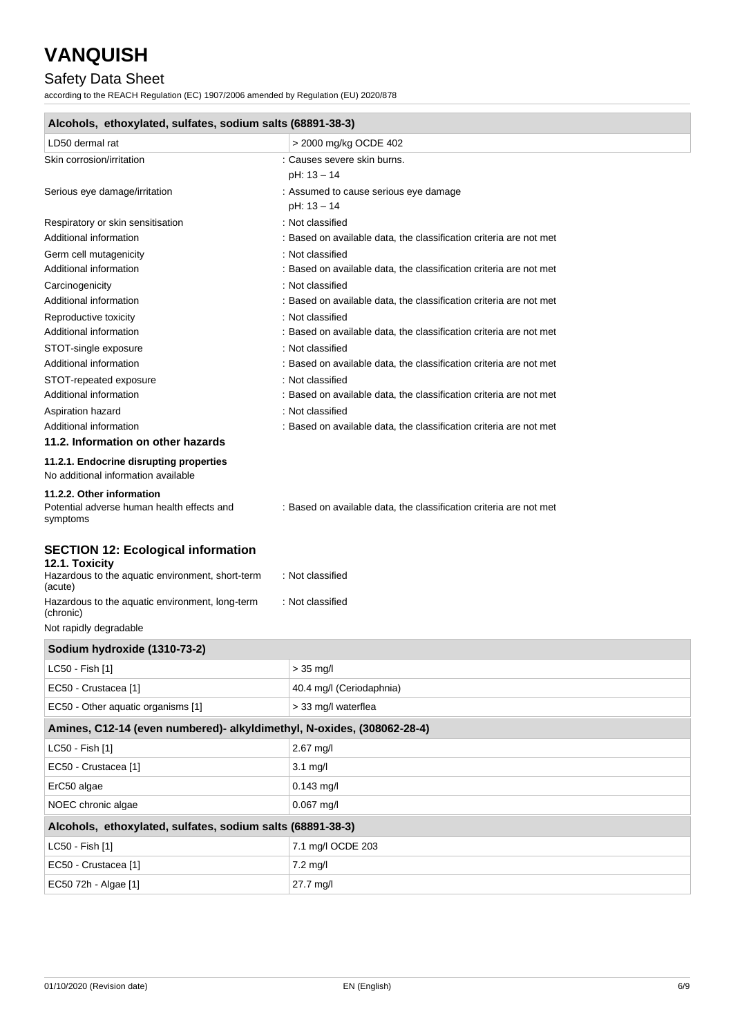## Safety Data Sheet

according to the REACH Regulation (EC) 1907/2006 amended by Regulation (EU) 2020/878

| Alcohols, ethoxylated, sulfates, sodium salts (68891-38-3)                                                      |                                                                    |  |
|-----------------------------------------------------------------------------------------------------------------|--------------------------------------------------------------------|--|
| LD50 dermal rat                                                                                                 | > 2000 mg/kg OCDE 402                                              |  |
| Skin corrosion/irritation                                                                                       | : Causes severe skin burns.<br>pH: 13 - 14                         |  |
| Serious eye damage/irritation                                                                                   | : Assumed to cause serious eye damage<br>pH: 13 - 14               |  |
| Respiratory or skin sensitisation                                                                               | : Not classified                                                   |  |
| Additional information                                                                                          | : Based on available data, the classification criteria are not met |  |
| Germ cell mutagenicity                                                                                          | : Not classified                                                   |  |
| Additional information                                                                                          | : Based on available data, the classification criteria are not met |  |
| Carcinogenicity                                                                                                 | : Not classified                                                   |  |
| Additional information                                                                                          | : Based on available data, the classification criteria are not met |  |
| Reproductive toxicity                                                                                           | : Not classified                                                   |  |
| Additional information                                                                                          | : Based on available data, the classification criteria are not met |  |
| STOT-single exposure                                                                                            | : Not classified                                                   |  |
| Additional information                                                                                          | : Based on available data, the classification criteria are not met |  |
| STOT-repeated exposure                                                                                          | : Not classified                                                   |  |
| Additional information                                                                                          | : Based on available data, the classification criteria are not met |  |
| Aspiration hazard                                                                                               | : Not classified                                                   |  |
| Additional information                                                                                          | : Based on available data, the classification criteria are not met |  |
| 11.2. Information on other hazards                                                                              |                                                                    |  |
| 11.2.1. Endocrine disrupting properties<br>No additional information available                                  |                                                                    |  |
| 11.2.2. Other information<br>Potential adverse human health effects and<br>symptoms                             | : Based on available data, the classification criteria are not met |  |
| <b>SECTION 12: Ecological information</b><br>12.1. Toxicity<br>Hazardous to the aquatic environment, short-term | : Not classified                                                   |  |
| (acute)<br>Hazardous to the aquatic environment, long-term<br>(chronic)                                         | : Not classified                                                   |  |
| Not rapidly degradable                                                                                          |                                                                    |  |
| Sodium hydroxide (1310-73-2)                                                                                    |                                                                    |  |

| <b>JUGILIII IIJULUALUE (1910-19-4)</b>                                 |  |
|------------------------------------------------------------------------|--|
| $> 35$ mg/l                                                            |  |
| 40.4 mg/l (Ceriodaphnia)                                               |  |
| > 33 mg/l waterflea                                                    |  |
| Amines, C12-14 (even numbered)- alkyldimethyl, N-oxides, (308062-28-4) |  |
| $2.67$ mg/l                                                            |  |
| $3.1$ mg/l                                                             |  |
| $0.143$ mg/l                                                           |  |
| $0.067$ mg/l                                                           |  |
| Alcohols, ethoxylated, sulfates, sodium salts (68891-38-3)             |  |
| 7.1 mg/l OCDE 203                                                      |  |
| $7.2$ mg/l                                                             |  |
| 27.7 mg/l                                                              |  |
|                                                                        |  |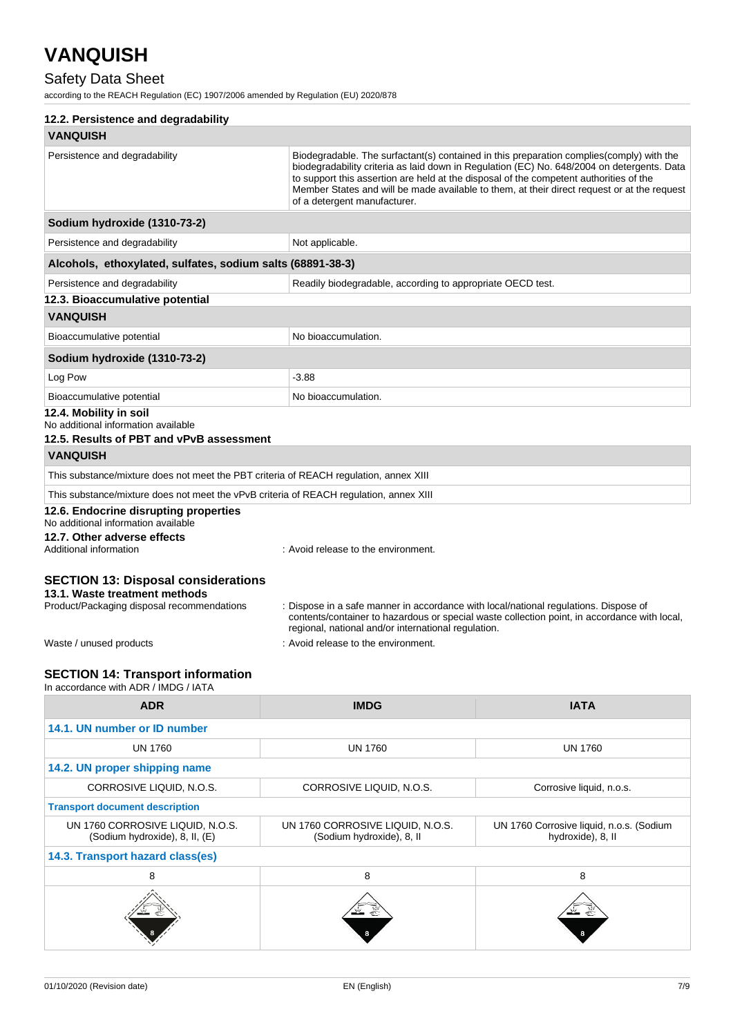## Safety Data Sheet

according to the REACH Regulation (EC) 1907/2006 amended by Regulation (EU) 2020/878

| 12.2. Persistence and degradability                                                                                       |                                                                                                                                             |                                                                                                                                                                                                                                                                                        |
|---------------------------------------------------------------------------------------------------------------------------|---------------------------------------------------------------------------------------------------------------------------------------------|----------------------------------------------------------------------------------------------------------------------------------------------------------------------------------------------------------------------------------------------------------------------------------------|
| <b>VANQUISH</b>                                                                                                           |                                                                                                                                             |                                                                                                                                                                                                                                                                                        |
| Persistence and degradability                                                                                             | to support this assertion are held at the disposal of the competent authorities of the<br>of a detergent manufacturer.                      | Biodegradable. The surfactant(s) contained in this preparation complies (comply) with the<br>biodegradability criteria as laid down in Regulation (EC) No. 648/2004 on detergents. Data<br>Member States and will be made available to them, at their direct request or at the request |
| Sodium hydroxide (1310-73-2)                                                                                              |                                                                                                                                             |                                                                                                                                                                                                                                                                                        |
| Persistence and degradability                                                                                             | Not applicable.                                                                                                                             |                                                                                                                                                                                                                                                                                        |
| Alcohols, ethoxylated, sulfates, sodium salts (68891-38-3)                                                                |                                                                                                                                             |                                                                                                                                                                                                                                                                                        |
| Persistence and degradability                                                                                             | Readily biodegradable, according to appropriate OECD test.                                                                                  |                                                                                                                                                                                                                                                                                        |
| 12.3. Bioaccumulative potential                                                                                           |                                                                                                                                             |                                                                                                                                                                                                                                                                                        |
| <b>VANQUISH</b>                                                                                                           |                                                                                                                                             |                                                                                                                                                                                                                                                                                        |
| Bioaccumulative potential                                                                                                 | No bioaccumulation.                                                                                                                         |                                                                                                                                                                                                                                                                                        |
| Sodium hydroxide (1310-73-2)                                                                                              |                                                                                                                                             |                                                                                                                                                                                                                                                                                        |
| Log Pow                                                                                                                   | $-3.88$                                                                                                                                     |                                                                                                                                                                                                                                                                                        |
| Bioaccumulative potential                                                                                                 | No bioaccumulation.                                                                                                                         |                                                                                                                                                                                                                                                                                        |
| 12.4. Mobility in soil<br>No additional information available                                                             |                                                                                                                                             |                                                                                                                                                                                                                                                                                        |
| 12.5. Results of PBT and vPvB assessment                                                                                  |                                                                                                                                             |                                                                                                                                                                                                                                                                                        |
| <b>VANQUISH</b>                                                                                                           |                                                                                                                                             |                                                                                                                                                                                                                                                                                        |
| This substance/mixture does not meet the PBT criteria of REACH regulation, annex XIII                                     |                                                                                                                                             |                                                                                                                                                                                                                                                                                        |
| This substance/mixture does not meet the vPvB criteria of REACH regulation, annex XIII                                    |                                                                                                                                             |                                                                                                                                                                                                                                                                                        |
| 12.6. Endocrine disrupting properties<br>No additional information available                                              |                                                                                                                                             |                                                                                                                                                                                                                                                                                        |
| 12.7. Other adverse effects<br>Additional information                                                                     | : Avoid release to the environment.                                                                                                         |                                                                                                                                                                                                                                                                                        |
| <b>SECTION 13: Disposal considerations</b><br>13.1. Waste treatment methods<br>Product/Packaging disposal recommendations | : Dispose in a safe manner in accordance with local/national regulations. Dispose of<br>regional, national and/or international regulation. | contents/container to hazardous or special waste collection point, in accordance with local,                                                                                                                                                                                           |
| Waste / unused products                                                                                                   | : Avoid release to the environment.                                                                                                         |                                                                                                                                                                                                                                                                                        |
| <b>SECTION 14: Transport information</b><br>In accordance with ADR / IMDG / IATA                                          |                                                                                                                                             |                                                                                                                                                                                                                                                                                        |
| <b>ADR</b>                                                                                                                | <b>IMDG</b>                                                                                                                                 | <b>IATA</b>                                                                                                                                                                                                                                                                            |
|                                                                                                                           |                                                                                                                                             |                                                                                                                                                                                                                                                                                        |

| <b>UN 1760</b>                                                     | <b>UN 1760</b>                                                | <b>UN 1760</b>                                                |
|--------------------------------------------------------------------|---------------------------------------------------------------|---------------------------------------------------------------|
| 14.2. UN proper shipping name                                      |                                                               |                                                               |
| CORROSIVE LIQUID, N.O.S.                                           | CORROSIVE LIQUID, N.O.S.                                      | Corrosive liquid, n.o.s.                                      |
| <b>Transport document description</b>                              |                                                               |                                                               |
| UN 1760 CORROSIVE LIQUID, N.O.S.<br>(Sodium hydroxide), 8, II, (E) | UN 1760 CORROSIVE LIQUID, N.O.S.<br>(Sodium hydroxide), 8, II | UN 1760 Corrosive liquid, n.o.s. (Sodium<br>hydroxide), 8, II |
| 14.3. Transport hazard class(es)                                   |                                                               |                                                               |
| 8                                                                  | 8                                                             | 8                                                             |
|                                                                    |                                                               |                                                               |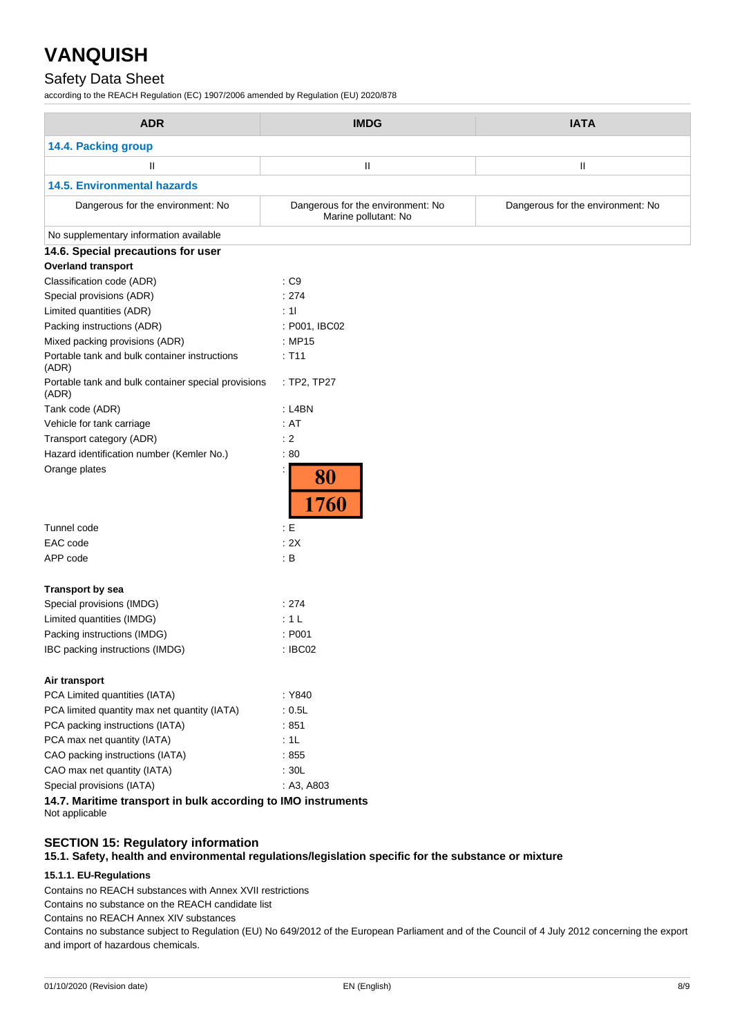## Safety Data Sheet

according to the REACH Regulation (EC) 1907/2006 amended by Regulation (EU) 2020/878

| <b>ADR</b>                                                    | <b>IMDG</b>                                               | <b>IATA</b>                       |
|---------------------------------------------------------------|-----------------------------------------------------------|-----------------------------------|
| 14.4. Packing group                                           |                                                           |                                   |
| Ш                                                             | Ш                                                         | Ш                                 |
| <b>14.5. Environmental hazards</b>                            |                                                           |                                   |
| Dangerous for the environment: No                             | Dangerous for the environment: No<br>Marine pollutant: No | Dangerous for the environment: No |
| No supplementary information available                        |                                                           |                                   |
| 14.6. Special precautions for user                            |                                                           |                                   |
| <b>Overland transport</b>                                     |                                                           |                                   |
| Classification code (ADR)                                     | : C9                                                      |                                   |
| Special provisions (ADR)                                      | : 274                                                     |                                   |
| Limited quantities (ADR)                                      | : 11                                                      |                                   |
| Packing instructions (ADR)                                    | : P001, IBC02                                             |                                   |
| Mixed packing provisions (ADR)                                | : MP15                                                    |                                   |
| Portable tank and bulk container instructions<br>(ADR)        | : T11                                                     |                                   |
| Portable tank and bulk container special provisions<br>(ADR)  | : TP2, TP27                                               |                                   |
| Tank code (ADR)                                               | $:$ L4BN                                                  |                                   |
| Vehicle for tank carriage                                     | : AT                                                      |                                   |
| Transport category (ADR)                                      | : 2                                                       |                                   |
| Hazard identification number (Kemler No.)                     | :80                                                       |                                   |
| Orange plates                                                 | 80<br>1760                                                |                                   |
| Tunnel code                                                   | E                                                         |                                   |
| EAC code                                                      | : 2X                                                      |                                   |
| APP code                                                      | $\mathbf{B}$                                              |                                   |
| <b>Transport by sea</b>                                       |                                                           |                                   |
| Special provisions (IMDG)                                     | : 274                                                     |                                   |
| Limited quantities (IMDG)                                     | : 1L                                                      |                                   |
| Packing instructions (IMDG)                                   | : P001                                                    |                                   |
| IBC packing instructions (IMDG)                               | : IBC02                                                   |                                   |
| Air transport                                                 |                                                           |                                   |
| PCA Limited quantities (IATA)                                 | : Y840                                                    |                                   |
| PCA limited quantity max net quantity (IATA)                  | : 0.5L                                                    |                                   |
| PCA packing instructions (IATA)                               | :851                                                      |                                   |
| PCA max net quantity (IATA)                                   | :1L                                                       |                                   |
| CAO packing instructions (IATA)                               | :855                                                      |                                   |
| CAO max net quantity (IATA)                                   | :30L                                                      |                                   |
| Special provisions (IATA)                                     | : A3, A803                                                |                                   |
| 14.7. Maritime transport in bulk according to IMO instruments |                                                           |                                   |

Not applicable

## **SECTION 15: Regulatory information**

**15.1. Safety, health and environmental regulations/legislation specific for the substance or mixture**

#### **15.1.1. EU-Regulations**

Contains no REACH substances with Annex XVII restrictions

Contains no substance on the REACH candidate list

Contains no REACH Annex XIV substances

Contains no substance subject to Regulation (EU) No 649/2012 of the European Parliament and of the Council of 4 July 2012 concerning the export and import of hazardous chemicals.